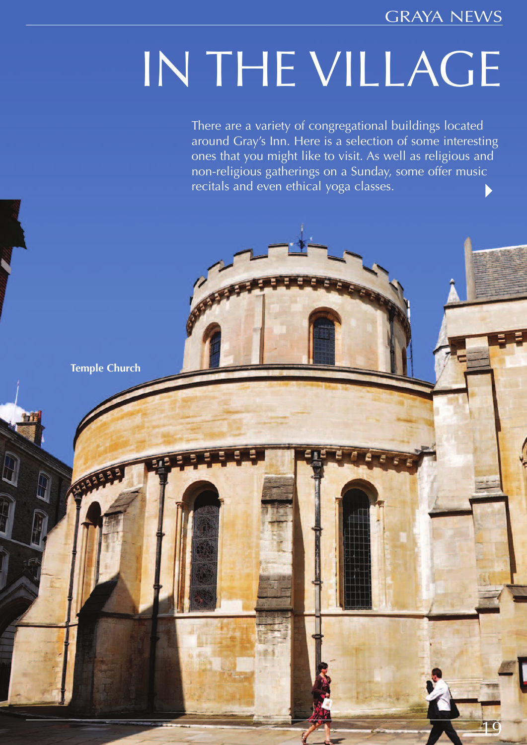GRAYA NEWS

19

# IN THE VILLAGE

There are a variety of congregational buildings located around Gray's Inn. Here is a selection of some interesting ones that you might like to visit. As well as religious and non-religious gatherings on a Sunday, some offer music recitals and even ethical yoga classes.

 $E$   $F$ 

**Temple Church**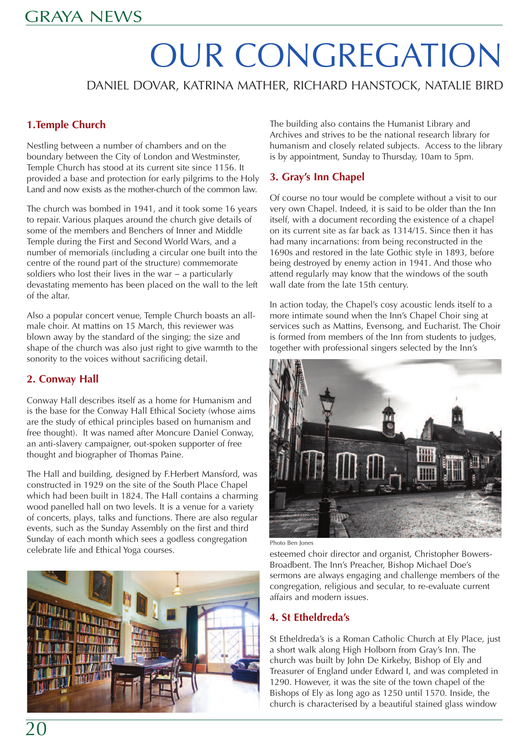## OUR CONGREGATION

DANIEL DOVAR, KATRINA MATHER, RICHARD HANSTOCK, NATALIE BIRD

#### **1.Temple Church**

Nestling between a number of chambers and on the boundary between the City of London and Westminster, Temple Church has stood at its current site since 1156. It provided a base and protection for early pilgrims to the Holy Land and now exists as the mother-church of the common law.

The church was bombed in 1941, and it took some 16 years to repair. Various plaques around the church give details of some of the members and Benchers of Inner and Middle Temple during the First and Second World Wars, and a number of memorials (including a circular one built into the centre of the round part of the structure) commemorate soldiers who lost their lives in the war − a particularly devastating memento has been placed on the wall to the left of the altar.

Also a popular concert venue, Temple Church boasts an allmale choir. At mattins on 15 March, this reviewer was blown away by the standard of the singing; the size and shape of the church was also just right to give warmth to the sonority to the voices without sacrificing detail.

#### **2. Conway Hall**

Conway Hall describes itself as a home for Humanism and is the base for the Conway Hall Ethical Society (whose aims are the study of ethical principles based on humanism and free thought). It was named after Moncure Daniel Conway, an anti-slavery campaigner, out-spoken supporter of free thought and biographer of Thomas Paine.

The Hall and building, designed by F.Herbert Mansford, was constructed in 1929 on the site of the South Place Chapel which had been built in 1824. The Hall contains a charming wood panelled hall on two levels. It is a venue for a variety of concerts, plays, talks and functions. There are also regular events, such as the Sunday Assembly on the first and third Sunday of each month which sees a godless congregation celebrate life and Ethical Yoga courses.



The building also contains the Humanist Library and Archives and strives to be the national research library for humanism and closely related subjects. Access to the library is by appointment, Sunday to Thursday, 10am to 5pm.

#### **3. Gray's Inn Chapel**

Of course no tour would be complete without a visit to our very own Chapel. Indeed, it is said to be older than the Inn itself, with a document recording the existence of a chapel on its current site as far back as 1314/15. Since then it has had many incarnations: from being reconstructed in the 1690s and restored in the late Gothic style in 1893, before being destroyed by enemy action in 1941. And those who attend regularly may know that the windows of the south wall date from the late 15th century.

In action today, the Chapel's cosy acoustic lends itself to a more intimate sound when the Inn's Chapel Choir sing at services such as Mattins, Evensong, and Eucharist. The Choir is formed from members of the Inn from students to judges, together with professional singers selected by the Inn's



Photo Ben Jones

esteemed choir director and organist, Christopher Bowers-Broadbent. The Inn's Preacher, Bishop Michael Doe's sermons are always engaging and challenge members of the congregation, religious and secular, to re-evaluate current affairs and modern issues.

#### **4. St Etheldreda's**

St Etheldreda's is a Roman Catholic Church at Ely Place, just a short walk along High Holborn from Gray's Inn. The church was built by John De Kirkeby, Bishop of Ely and Treasurer of England under Edward I, and was completed in 1290. However, it was the site of the town chapel of the Bishops of Ely as long ago as 1250 until 1570. Inside, the church is characterised by a beautiful stained glass window